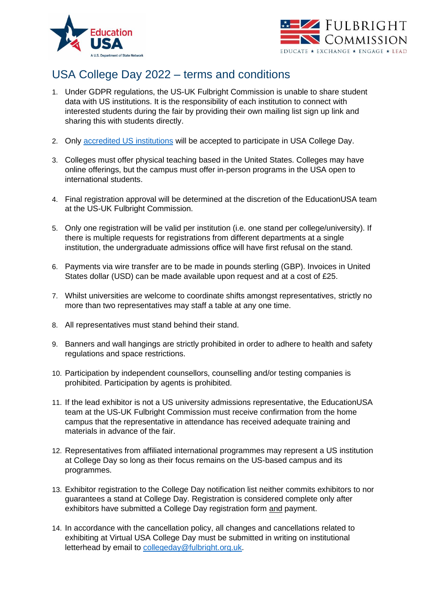



## USA College Day 2022 – terms and conditions

- 1. Under GDPR regulations, the US-UK Fulbright Commission is unable to share student data with US institutions. It is the responsibility of each institution to connect with interested students during the fair by providing their own mailing list sign up link and sharing this with students directly.
- 2. Only [accredited US institutions](https://educationusa.state.gov/understanding-us-accreditation) will be accepted to participate in USA College Day.
- 3. Colleges must offer physical teaching based in the United States. Colleges may have online offerings, but the campus must offer in-person programs in the USA open to international students.
- 4. Final registration approval will be determined at the discretion of the EducationUSA team at the US-UK Fulbright Commission.
- 5. Only one registration will be valid per institution (i.e. one stand per college/university). If there is multiple requests for registrations from different departments at a single institution, the undergraduate admissions office will have first refusal on the stand.
- 6. Payments via wire transfer are to be made in pounds sterling (GBP). Invoices in United States dollar (USD) can be made available upon request and at a cost of £25.
- 7. Whilst universities are welcome to coordinate shifts amongst representatives, strictly no more than two representatives may staff a table at any one time.
- 8. All representatives must stand behind their stand.
- 9. Banners and wall hangings are strictly prohibited in order to adhere to health and safety regulations and space restrictions.
- 10. Participation by independent counsellors, counselling and/or testing companies is prohibited. Participation by agents is prohibited.
- 11. If the lead exhibitor is not a US university admissions representative, the EducationUSA team at the US-UK Fulbright Commission must receive confirmation from the home campus that the representative in attendance has received adequate training and materials in advance of the fair.
- 12. Representatives from affiliated international programmes may represent a US institution at College Day so long as their focus remains on the US-based campus and its programmes.
- 13. Exhibitor registration to the College Day notification list neither commits exhibitors to nor guarantees a stand at College Day. Registration is considered complete only after exhibitors have submitted a College Day registration form and payment.
- 14. In accordance with the cancellation policy, all changes and cancellations related to exhibiting at Virtual USA College Day must be submitted in writing on institutional letterhead by email to [collegeday@fulbright.org.uk.](mailto:collegeday@fulbright.org.uk)